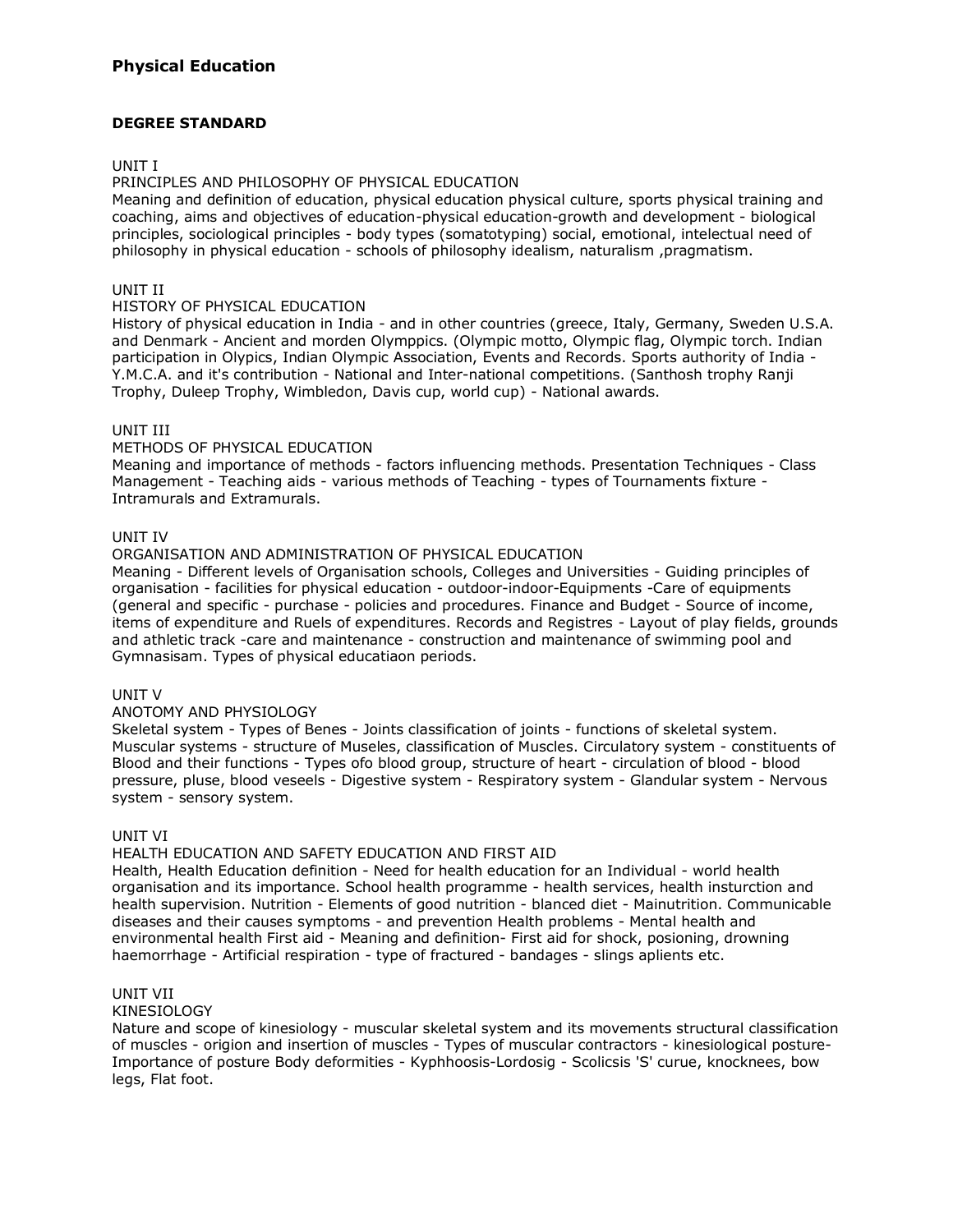# **DEGREE STANDARD**

# UNIT I

# PRINCIPLES AND PHILOSOPHY OF PHYSICAL EDUCATION

Meaning and definition of education, physical education physical culture, sports physical training and coaching, aims and objectives of education-physical education-growth and development - biological principles, sociological principles - body types (somatotyping) social, emotional, intelectual need of philosophy in physical education - schools of philosophy idealism, naturalism, pragmatism.

# UNIT II

## HISTORY OF PHYSICAL EDUCATION

History of physical education in India - and in other countries (greece, Italy, Germany, Sweden U.S.A. and Denmark - Ancient and morden Olymppics. (Olympic motto, Olympic flag, Olympic torch. Indian participation in Olypics, Indian Olympic Association, Events and Records. Sports authority of India - Y.M.C.A. and it's contribution - National and Inter-national competitions. (Santhosh trophy Ranji Trophy, Duleep Trophy, Wimbledon, Davis cup, world cup) - National awards.

# UNIT III

# METHODS OF PHYSICAL EDUCATION

Meaning and importance of methods - factors influencing methods. Presentation Techniques - Class Management - Teaching aids - various methods of Teaching - types of Tournaments fixture - Intramurals and Extramurals.

# UNIT IV

# ORGANISATION AND ADMINISTRATION OF PHYSICAL EDUCATION

Meaning - Different levels of Organisation schools, Colleges and Universities - Guiding principles of organisation - facilities for physical education - outdoor-indoor-Equipments -Care of equipments (general and specific - purchase - policies and procedures. Finance and Budget - Source of income, items of expenditure and Ruels of expenditures. Records and Registres - Layout of play fields, grounds and athletic track -care and maintenance - construction and maintenance of swimming pool and Gymnasisam. Types of physical educatiaon periods.

# UNIT V

#### ANOTOMY AND PHYSIOLOGY

Skeletal system - Types of Benes - Joints classification of joints - functions of skeletal system. Muscular systems - structure of Museles, classification of Muscles. Circulatory system - constituents of Blood and their functions - Types ofo blood group, structure of heart - circulation of blood - blood pressure, pluse, blood veseels - Digestive system - Respiratory system - Glandular system - Nervous system - sensory system.

#### UNIT VI

# HEALTH EDUCATION AND SAFETY EDUCATION AND FIRST AID

Health, Health Education definition - Need for health education for an Individual - world health organisation and its importance. School health programme - health services, health insturction and health supervision. Nutrition - Elements of good nutrition - blanced diet - Mainutrition. Communicable diseases and their causes symptoms - and prevention Health problems - Mental health and environmental health First aid - Meaning and definition- First aid for shock, posioning, drowning haemorrhage - Artificial respiration - type of fractured - bandages - slings aplients etc.

# UNIT VII

#### KINESIOLOGY

Nature and scope of kinesiology - muscular skeletal system and its movements structural classification of muscles - origion and insertion of muscles - Types of muscular contractors - kinesiological posture-Importance of posture Body deformities - Kyphhoosis-Lordosig - Scolicsis 'S' curue, knocknees, bow legs, Flat foot.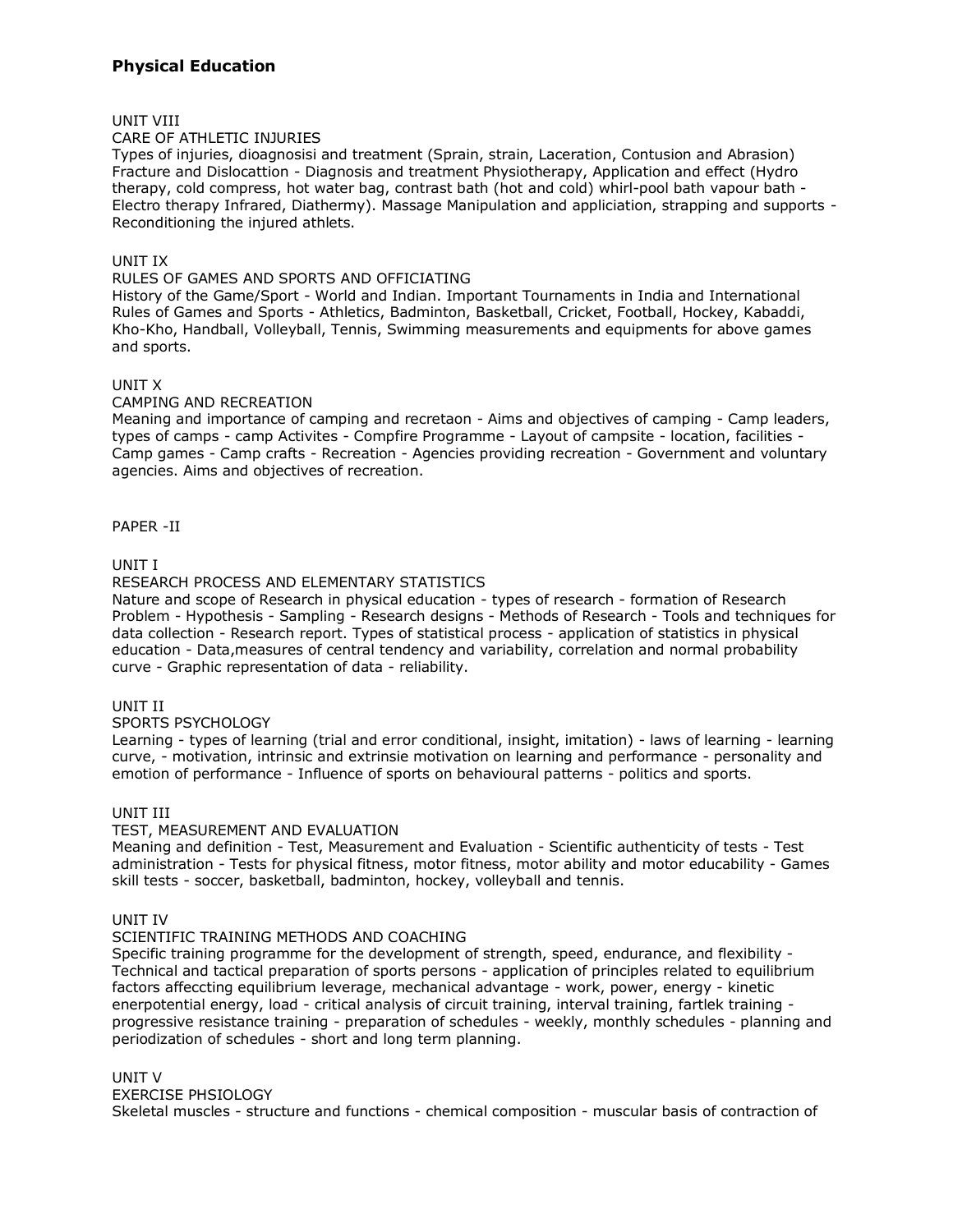# **Physical Education**

## UNIT VIII

#### CARE OF ATHLETIC INJURIES

Types of injuries, dioagnosisi and treatment (Sprain, strain, Laceration, Contusion and Abrasion) Fracture and Dislocattion - Diagnosis and treatment Physiotherapy, Application and effect (Hydro therapy, cold compress, hot water bag, contrast bath (hot and cold) whirl-pool bath vapour bath - Electro therapy Infrared, Diathermy). Massage Manipulation and appliciation, strapping and supports - Reconditioning the injured athlets.

### UNIT IX

# RULES OF GAMES AND SPORTS AND OFFICIATING

History of the Game/Sport - World and Indian. Important Tournaments in India and International Rules of Games and Sports - Athletics, Badminton, Basketball, Cricket, Football, Hockey, Kabaddi, Kho-Kho, Handball, Volleyball, Tennis, Swimming measurements and equipments for above games and sports.

# UNIT X

#### CAMPING AND RECREATION

Meaning and importance of camping and recretaon - Aims and objectives of camping - Camp leaders, types of camps - camp Activites - Compfire Programme - Layout of campsite - location, facilities - Camp games - Camp crafts - Recreation - Agencies providing recreation - Government and voluntary agencies. Aims and objectives of recreation.

#### PAPER -II

# UNIT I

#### RESEARCH PROCESS AND ELEMENTARY STATISTICS

Nature and scope of Research in physical education - types of research - formation of Research Problem - Hypothesis - Sampling - Research designs - Methods of Research - Tools and techniques for data collection - Research report. Types of statistical process - application of statistics in physical education - Data,measures of central tendency and variability, correlation and normal probability curve - Graphic representation of data - reliability.

UNIT II

#### SPORTS PSYCHOLOGY

Learning - types of learning (trial and error conditional, insight, imitation) - laws of learning - learning curve, - motivation, intrinsic and extrinsie motivation on learning and performance - personality and emotion of performance - Influence of sports on behavioural patterns - politics and sports.

#### UNIT III

#### TEST, MEASUREMENT AND EVALUATION

Meaning and definition - Test, Measurement and Evaluation - Scientific authenticity of tests - Test administration - Tests for physical fitness, motor fitness, motor ability and motor educability - Games skill tests - soccer, basketball, badminton, hockey, volleyball and tennis.

#### UNIT IV

#### SCIENTIFIC TRAINING METHODS AND COACHING

Specific training programme for the development of strength, speed, endurance, and flexibility - Technical and tactical preparation of sports persons - application of principles related to equilibrium factors affeccting equilibrium leverage, mechanical advantage - work, power, energy - kinetic enerpotential energy, load - critical analysis of circuit training, interval training, fartlek training progressive resistance training - preparation of schedules - weekly, monthly schedules - planning and periodization of schedules - short and long term planning.

### UNIT V

EXERCISE PHSIOLOGY

Skeletal muscles - structure and functions - chemical composition - muscular basis of contraction of